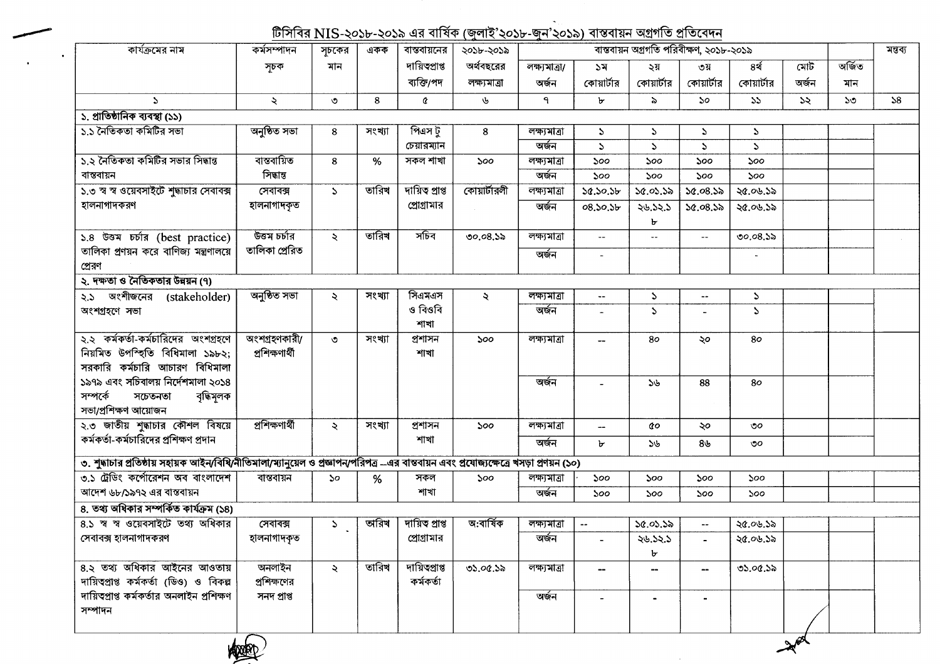## <u>টিসিবির NIS-২০১৮-২০১৯ এর বার্ষিক (জুলাই'২০১৮-জুন'২০১৯) বাস্তবায়ন অগ্রগতি প্রতিবেদন</u>

| কার্যক্রমের নাম                                                                                                                         | কর্মসম্পাদন    | সূচকের                      | একক    | বাস্তবায়নের    | ২০১৮-২০১৯           |               |                          | বাস্তবায়ন অগ্রগতি পরিবীক্ষণ, ২০১৮-২০১৯ |               |                |               |              | মন্তব্য |
|-----------------------------------------------------------------------------------------------------------------------------------------|----------------|-----------------------------|--------|-----------------|---------------------|---------------|--------------------------|-----------------------------------------|---------------|----------------|---------------|--------------|---------|
|                                                                                                                                         | সূচক           | মান                         |        | দায়িত্বপ্ৰাপ্ত | অর্থবছরের           | লক্ষ্যমাত্ৰা/ | ১ম                       | ২য়                                     | ৩য়           | ৪র্থ           | মোট           | অৰ্জিত       |         |
|                                                                                                                                         |                |                             |        | ব্যক্তি/পদ      | লক্ষ্যমাত্ৰা        | অৰ্জন         | কোয়ার্টার               | কোয়ার্টার                              | কোয়ার্টার    | কোয়ার্টার     | অৰ্জন         | মান          |         |
| $\Delta$                                                                                                                                | ₹              | ৩                           | 8      | ¢               | ৬                   | ٩             | ৮                        | $\geqslant$                             | $50^{\circ}$  | 55             | $\mathcal{Z}$ | $50^{\circ}$ | 58      |
| ১. প্ৰাতিষ্ঠানিক ব্যবস্থা (১১)                                                                                                          |                |                             |        |                 |                     |               |                          |                                         |               |                |               |              |         |
| ১.১ নৈতিকতা কমিটির সভা                                                                                                                  | অনুষ্ঠিত সভা   | 8                           | সংখ্যা | পিএস টু         | 8                   | লক্ষ্যমাত্ৰা  | $\mathcal{L}$            | $\mathcal{L}$                           | S.            | $\mathcal{L}$  |               |              |         |
|                                                                                                                                         |                |                             |        | চেয়ারম্যান     |                     | অৰ্জন         | $\mathcal{L}$            | $\mathbf{z}$                            | $\mathcal{L}$ | $\mathcal{L}$  |               |              |         |
| ১.২ নৈতিকতা কমিটির সভার সিদ্ধান্ত                                                                                                       | বাস্তবায়িত    | 8                           | $\%$   | সকল শাখা        | 500                 | লক্ষ্যমাত্ৰা  | ১০০                      | 500                                     | ১০০           | ১০০            |               |              |         |
| বান্তবায়ন                                                                                                                              | সিদ্ধান্ত      |                             |        |                 |                     | অৰ্জন         | 500                      | 500                                     | 500           | 500            |               |              |         |
| ১.৩ স্ব স্ব ওয়েবসাইটে শুদ্ধাচার সেবাবক্স                                                                                               | সেবাবক্স       | S.                          | তারিখ  | দায়িত প্ৰাপ্ত  | কোয়ার্টারলী        | লক্ষ্যমাত্ৰা  | 50.50.5b                 | 30.03.38                                | 50.08.55      | ২৫.০৬.১৯       |               |              |         |
| হালনাগাদকরণ                                                                                                                             | হালনাগাদকৃত    |                             |        | প্রোগ্রামার     |                     | অৰ্জন         | 08.50.5b                 | ২৬.১২.১                                 | 50.08.55      | ২৫.০৬.১৯       |               |              |         |
|                                                                                                                                         |                |                             |        |                 |                     |               |                          | ৮                                       |               |                |               |              |         |
| ১.৪ উত্তম চৰ্চার (best practice)                                                                                                        | উত্তম চৰ্চার   | ₹                           | তারিখ  | সচিব            | 00.08.3             | লক্ষ্যমাত্ৰা  | $\sim$                   | $\overline{\phantom{a}}$                | $\sim$ $-$    | $00.08.$ da    |               |              |         |
| তালিকা প্রণয়ন করে বাণিজ্য মন্ত্রণালয়ে                                                                                                 | তালিকা প্ৰেরিত |                             |        |                 |                     | অৰ্জন         | $\sim$                   |                                         |               | $\blacksquare$ |               |              |         |
| প্রেরণ                                                                                                                                  |                |                             |        |                 |                     |               |                          |                                         |               |                |               |              |         |
| ২. দক্ষতা ও নৈতিকতার উন্নয়ন (৭)                                                                                                        |                |                             |        |                 |                     |               |                          |                                         |               |                |               |              |         |
| २.১ অংশীজনের (stakeholder)                                                                                                              | অনুষ্ঠিত সভা   | $\ddot{\sim}$               | সংখ্যা | সিএমএস          | $\ddot{\mathbf{z}}$ | লক্ষ্যমাত্ৰা  | $\frac{1}{2}$            | $\mathcal{L}$                           | $\sim$ $\sim$ | $\mathcal{L}$  |               |              |         |
| অংশগ্ৰহণে সভা                                                                                                                           |                |                             |        | ও বিওবি         |                     | অৰ্জন         |                          | $\mathcal{L}$                           |               | $\mathcal{L}$  |               |              |         |
|                                                                                                                                         |                |                             |        | শাখা            |                     |               |                          |                                         |               |                |               |              |         |
| ২.২ কর্মকর্তা-কর্মচারিদের অংশগ্রহণে                                                                                                     | অংশগ্ৰহণকারী/  | $\circ$                     | সংখ্যা | প্ৰশাসন         | 500                 | লক্ষ্যমাত্ৰা  |                          | 80                                      | ২০            | 80             |               |              |         |
| নিয়মিত উপস্হিতি বিধিমালা ১৯৮২;                                                                                                         | প্ৰশিক্ষণাৰ্থী |                             |        | শাখা            |                     |               |                          |                                         |               |                |               |              |         |
| সরকারি কর্মচারি আচারণ বিধিমালা                                                                                                          |                |                             |        |                 |                     |               |                          |                                         |               |                |               |              |         |
| ১৯৭৯ এবং সচিবালয় নির্দেশমালা ২০১৪                                                                                                      |                |                             |        |                 |                     | অৰ্জন         |                          | 36                                      | 88            | 80             |               |              |         |
| সম্পৰ্কে<br>বৃদ্ধিমূলক<br>সচেতনতা                                                                                                       |                |                             |        |                 |                     |               |                          |                                         |               |                |               |              |         |
| সভা/প্ৰশিক্ষণ আয়োজন                                                                                                                    |                |                             |        |                 |                     |               |                          |                                         |               |                |               |              |         |
| ২.৩ জাতীয় শুদ্ধাচার কৌশল বিষয়ে                                                                                                        | প্ৰশিক্ষণাৰ্থী | $\ddot{\mathbf{z}}$         | সংখ্যা | প্ৰশাসন         | ১০০                 | লক্ষ্যমাত্ৰা  |                          | άo                                      | ২০            | ৩০             |               |              |         |
| কর্মকর্তা-কর্মচারিদের প্রশিক্ষণ প্রদান                                                                                                  |                |                             |        | শাখা            |                     | অৰ্জন         | ৮                        | ১৬                                      | ৪৬            | ৩০             |               |              |         |
| ৩. শুদ্ধাচার প্রতিষ্ঠায় সহায়ক আইন/বিধি/নীতিমালা/ম্যানুয়েল ও প্রজ্ঞাপন/পরিপত্র –এর বান্তবায়ন এবং প্রযোজ্যক্ষেত্রে খসড়া প্রণয়ন (১০) |                |                             |        |                 |                     |               |                          |                                         |               |                |               |              |         |
| ৩.১ ট্রেডিং কর্পোরেশন অব বাংলাদেশ                                                                                                       | বান্তবায়ন     | $\mathcal{S}^{\mathcal{O}}$ | %      | সকল             | 500                 | লক্ষ্যমাত্ৰা  | 500                      | ১০০                                     | ১০০           | ১০০            |               |              |         |
| আদেশ ৬৮/১৯৭২ এর বাস্তবায়ন                                                                                                              |                |                             |        | শাখা            |                     | অৰ্জন         | 500                      | 500                                     | ১০০           | ১০০            |               |              |         |
| ৪. তথ্য অধিকার সম্পর্কিত কার্যক্রম (১৪)                                                                                                 |                |                             |        |                 |                     |               |                          |                                         |               |                |               |              |         |
| ৪.১ স্ব স্ব ওয়েবসাইটে তথ্য অধিকার                                                                                                      | সেবাবক্স       | $\mathcal{L}$               | অরিখ   | দায়িত প্ৰাপ্ত  | অ:বাৰ্ষিক           | লক্ষ্যমাত্ৰা  | $\mathbf{u}$             | ১৫.০১.১৯                                | $\sim$ $-$    | ২৫.০৬.১৯       |               |              |         |
| সেবাবক্স হালনাগাদকরণ                                                                                                                    | হালনাগাদকৃত    |                             |        | প্রোগ্রামার     |                     | অৰ্জন         |                          | ২৬.১২.১                                 |               | ২৫.০৬.১৯       |               |              |         |
|                                                                                                                                         |                |                             |        |                 |                     |               |                          | ৮                                       |               |                |               |              |         |
| ৪.২ তথ্য অধিকার আইনের আওতায়                                                                                                            | অনলাইন         | $\lambda$                   | তারিখ  | দায়িত্বপ্রাপ্ত | ৩১.০৫.১৯            | লক্ষ্যমাত্ৰা  |                          | --                                      | --            | ৩১.০৫.১৯       |               |              |         |
| দায়িত্বপ্রাপ্ত কর্মকর্তা (ডিও) ও বিকল্প                                                                                                | প্রশিক্ষণের    |                             |        | কৰ্মকৰ্তা       |                     |               |                          |                                         |               |                |               |              |         |
| দায়িত্প্রাপ্ত কর্মকর্তার অনলাইন প্রশিক্ষণ                                                                                              | সনদ প্ৰাপ্ত    |                             |        |                 |                     | অৰ্জন         | $\overline{\phantom{a}}$ | $\blacksquare$                          |               |                |               |              |         |
| সম্পাদন                                                                                                                                 |                |                             |        |                 |                     |               |                          |                                         |               |                |               |              |         |
|                                                                                                                                         |                |                             |        |                 |                     |               |                          |                                         |               |                |               |              |         |
|                                                                                                                                         |                |                             |        |                 |                     |               |                          |                                         |               |                |               |              |         |

 $\mathcal{A}^{\phi}$ 

 $\sim$ 

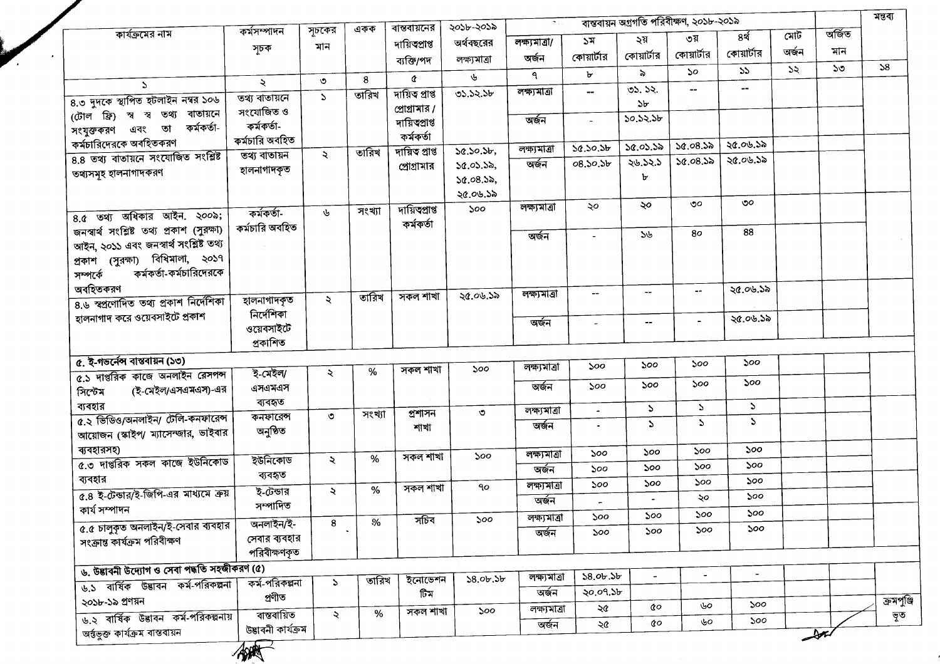|                                                                           |                            |               |               | বান্তবায়নের                     | ২০১৮-২০১৯       | $\mathbf{w}_{\mathrm{in},i}$ |                |                | বাস্তবায়ন অগ্রগতি পরিবীক্ষণ, ২০১৮-২০১৯ |                |       |        | মন্তব্য           |
|---------------------------------------------------------------------------|----------------------------|---------------|---------------|----------------------------------|-----------------|------------------------------|----------------|----------------|-----------------------------------------|----------------|-------|--------|-------------------|
| কার্যক্রমের নাম                                                           | কৰ্মসম্পাদন                | সূচকের        | একক           |                                  | অর্থবছরের       | লক্ষ্যমাত্ৰা/                | ১ম             | ২য়            | ৩য়                                     | ৪র্থ           | মোট   | অৰ্জিত |                   |
|                                                                           | সূচক                       | মান           |               | দায়িত্বপ্ৰাপ্ত                  | লক্ষ্যমাত্ৰা    | অৰ্জন                        | কোয়ার্টার     | কোয়ার্টার     | কোয়ার্টার                              | কোয়ার্টার     | অৰ্জন | মান    |                   |
|                                                                           |                            |               |               | ব্যক্তি/পদ                       |                 | ٩                            | Ъ              | $\delta$       | ১০                                      | 55             | 55    | ১৩     | 58                |
| $\Delta$                                                                  | ২                          | $\circ$       | 8             | ¢                                | ৬               | লক্ষ্যমাত্ৰা                 | --             | 05.52.         | --                                      | $\overline{a}$ |       |        |                   |
| ৪.৩ দুদকে স্থাপিত হটলাইন নম্বর ১০৬                                        | তথ্য বাতায়নে              | $\mathcal{L}$ | তারিখ         | দায়িত প্ৰাপ্ত                   | 03.52.56        |                              |                | ১৮             |                                         |                |       |        |                   |
| (টোল ফ্রি) স্ব স্ব তথ্য বাতায়নে                                          | সংযোজিত ও                  |               |               | প্রোগ্রামার /<br>দায়িত্বপ্ৰাপ্ত |                 | অৰ্জন                        | $\blacksquare$ | 50.52.56       |                                         |                |       |        |                   |
| কৰ্মকৰ্তা-<br>সংযুক্তকরণ এবং তা                                           | কৰ্মকৰ্তা-                 |               |               | কৰ্মকৰ্তা                        |                 |                              |                |                |                                         |                |       |        |                   |
| কর্মচারিদেরকে অবহিতকরণ                                                    | কৰ্মচারি অবহিত             |               | তারিখ         | দায়িত প্ৰাপ্ত                   | 50.50.56        | লক্ষ্যমাত্ৰা                 | 50.50.5b       | ১৫.০১.১৯       | 50.08.55                                | ২৫.০৬.১৯       |       |        |                   |
| 8.8 তথ্য বাতায়নে সংযোজিত সংশ্লিষ্ট                                       | তথ্য বাতায়ন               | $\ddot{\sim}$ |               | প্রোগ্রামার                      | 50.05.55,       | অৰ্জন                        | 08.50.5b       | ২৬.১২.১        | 50.08.55                                | ২৫.০৬.১৯       |       |        |                   |
| তথ্যসমূহ হালনাগাদকরণ                                                      | হালনাগাদকৃত                |               |               |                                  | 50.08.55,       |                              |                | А              |                                         |                |       |        |                   |
|                                                                           |                            |               |               |                                  | ২৫.০৬.১৯        |                              |                |                |                                         |                |       |        |                   |
|                                                                           | কৰ্মকৰ্তা-                 | ىل            | সংখ্যা        | দায়িতপ্ৰাপ্ত                    | 500             | লক্ষ্যমাত্ৰা                 | ২০             | ২০             | ৩০                                      | ৩০             |       |        |                   |
| $8.6$ তথ্য অধিকার আইন. ২০০৯;<br>জনস্বাৰ্থ সংশ্লিষ্ট তথ্য প্ৰকাশ (সুরক্ষা) | কর্মচারি অবহিত             |               |               | কৰ্মকৰ্তা                        |                 |                              |                |                |                                         |                |       |        |                   |
| আইন, ২০১১ এবং জনস্বার্থ সংশ্লিষ্ট তথ্য                                    |                            |               |               |                                  |                 | অৰ্জন                        |                | ১৬             | 80                                      | 88             |       |        |                   |
| প্ৰকাশ (সুরক্ষা) বিধিমালা, ২০১৭                                           |                            |               |               |                                  |                 |                              |                |                |                                         |                |       |        |                   |
| কৰ্মকৰ্তা-কৰ্মচারিদেরকে<br>সম্পৰ্কে                                       |                            |               |               |                                  |                 |                              |                |                |                                         |                |       |        |                   |
| অবহিতকরণ                                                                  |                            |               |               |                                  |                 |                              |                |                | ÷÷                                      | ২৫.০৬.১৯       |       |        |                   |
| ৪.৬ স্বপ্রণোদিত তথ্য প্রকাশ নির্দেশিকা                                    | হালনাগাদকৃত                | $\ddot{\sim}$ | তারিখ         | সকল শাখা                         | ২৫.০৬.১৯        | লক্ষ্যমাত্ৰা                 | $\!-$          | --             |                                         |                |       |        |                   |
| হালনাগাদ করে ওয়েবসাইটে প্রকাশ                                            | নিৰ্দেশিকা                 |               |               |                                  |                 | অৰ্জন                        |                | --             | $\blacksquare$                          | ২৫.০৬.১৯       |       |        |                   |
|                                                                           | ওয়েবসাইটে                 |               |               |                                  |                 |                              |                |                |                                         |                |       |        |                   |
|                                                                           | প্ৰকাশিত                   |               |               |                                  |                 |                              |                |                |                                         |                |       |        |                   |
| $\overline{a}$ . ই-গভর্নেন্স বাস্তবায়ন (১৩)                              |                            |               |               |                                  | ১০০             | লক্ষ্যমাত্ৰা                 | 500            | 500            | ১০০                                     | ১০০            |       |        |                   |
| ৫.১ দাপ্তরিক কাজে অনলাইন রেসপন্স                                          | ই-মেইল/                    | ₹             | %             | সকল শাখা                         |                 |                              |                | 500            | ১০০                                     | ১০০            |       |        |                   |
| (ই-মেইল/এসএমএস)-এর<br>সিস্টেম                                             | এসএমএস                     |               |               |                                  |                 | অৰ্জন                        | ১০০            |                |                                         |                |       |        |                   |
| ব্যবহার                                                                   | ব্যবহৃত                    | $\circ$       | সংখ্যা        | প্ৰশাসন                          | ৩               | লক্ষ্যমাত্ৰা                 | $\blacksquare$ | $\mathcal{L}$  | $\mathcal{L}$                           | $\mathcal{L}$  |       |        |                   |
| ৫.২ ভিডিও/অনলাইন/ টেলি-কনফারেন্স                                          | কনফারেন্স<br>অনুষ্ঠিত      |               |               | শাখা                             |                 | অৰ্জন                        |                | $\mathcal{L}$  | S.                                      | $\mathcal{L}$  |       |        |                   |
| আয়োজন (স্কাইপ/ ম্যাসেম্জার, ভাইবার                                       |                            |               |               |                                  |                 |                              |                |                |                                         |                |       |        |                   |
| ব্যবহারসহ)                                                                | ইউনিকোড                    | ₹             | $\%$          | সকল শাখা                         | 500             | লক্ষ্যমাত্ৰা                 | ১০০            | ১০০            | 500                                     | ১০০            |       |        |                   |
| ৫.৩ দাপ্তরিক সকল কাজে ইউনিকোড                                             | ব্যবহৃত                    |               |               |                                  |                 | অৰ্জন                        | ১০০            | ১০০            | ১০০                                     | ১০০            |       |        |                   |
| ব্যবহার                                                                   | ই-টেন্ডার                  | $\ddot{\sim}$ | %             | সকল শাখা                         | 90              | লক্ষ্যমাত্ৰা                 | ১০০            | 500            | ১০০                                     | ১০০            |       |        |                   |
| ৫.৪ ই-টেন্ডার/ই-জিপি-এর মাধ্যমে ক্রয়                                     | সম্পাদিত                   |               |               |                                  |                 | অৰ্জন                        |                |                | ২০                                      | ১০০            |       |        |                   |
| কাৰ্য সম্পাদন                                                             |                            | 8             | $\frac{9}{6}$ | সচিব                             | 500             | লক্ষ্যমাত্ৰা                 | ১০০            | 500            | ১০০                                     | ১০০            |       |        |                   |
| ৫.৫ চালুকৃত অনলাইন/ই-সেবার ব্যবহার                                        | অনলাইন/ই-<br>সেবার ব্যবহার |               |               |                                  |                 | অৰ্জন                        | ১০০            | ১০০            | ১০০                                     | ১০০            |       |        |                   |
| সংক্রান্ত কার্যক্রম পরিবীক্ষণ                                             | পরিবীক্ষণকৃত               |               |               |                                  |                 |                              |                |                |                                         |                |       |        |                   |
| ৬. উদ্ভাবনী উদ্যোগ ও সেবা পদ্ধতি সহজীকরণ (৫)                              |                            |               |               |                                  |                 |                              |                |                |                                         |                |       |        |                   |
| ৬.১ বাৰ্ষিক উদ্ভাবন কৰ্ম-পৰিকল্পনা                                        | কৰ্ম-পৰিকল্পনা             | $\mathcal{L}$ | তারিখ         | ইনোভেশন                          | $58.0$ b. $5$ b | লক্ষ্যমাত্ৰা                 | 58.0 b.5 b     | $\blacksquare$ | $\blacksquare$                          |                |       |        |                   |
|                                                                           | প্ৰণীত                     |               |               | টিম                              |                 | অৰ্জন                        | ২০.০৭.১৮       |                |                                         |                |       |        |                   |
| ২০১৮-১৯ প্ৰণয়ন                                                           | ৰান্তৰায়িত                | $\ddot{\sim}$ | %             | সকল শাখা                         | 500             | লক্ষ্যমাত্ৰা                 | ২৫             | Q0             | ৬০                                      | ১০০            |       |        | ক্রমপুঞ্জি<br>ভূত |
| ৬.২ বাৰ্ষিক উদ্ভাবন কৰ্ম-পরিকল্পনায়                                      | উদ্ভাবনী কাৰ্যক্ৰম         |               |               |                                  |                 | অৰ্জন                        | ২৫             | $\pmb{\alpha}$ | ৬০                                      | ১০০            |       |        |                   |
| অৰ্ন্তভুক্ত কাৰ্যক্ৰম বাস্তবায়ন                                          |                            |               |               |                                  |                 |                              |                |                |                                         |                | يمك   |        |                   |
|                                                                           | <b>RABBER</b>              |               |               |                                  |                 |                              |                |                |                                         |                |       |        |                   |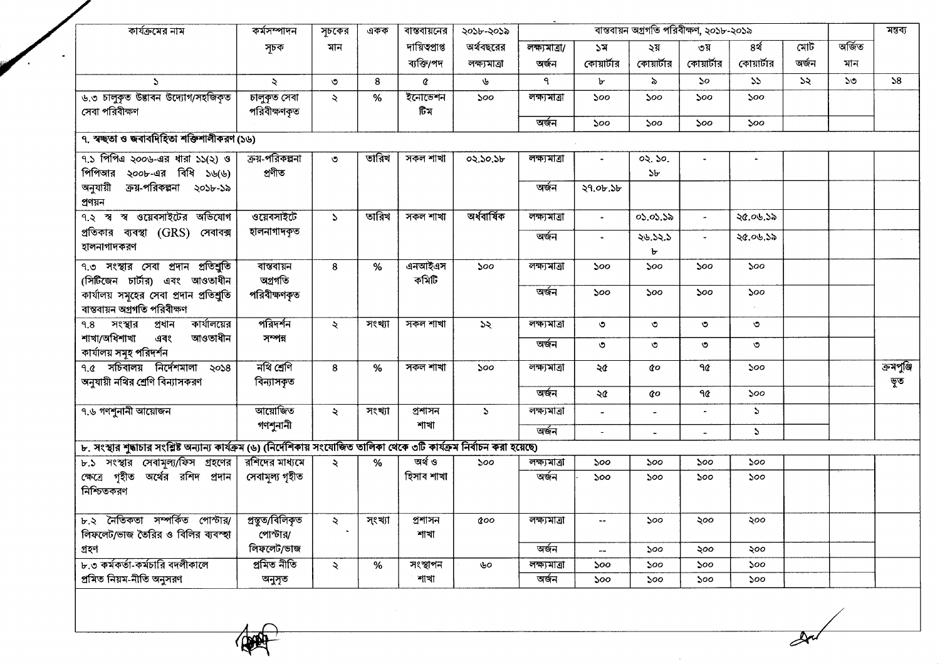| কার্যক্রমের নাম                                                                                                            | কৰ্মসম্পাদন         | সূচকের        | একক    | বাস্তবায়নের    | ২০১৮-২০১৯     |               |                | মন্তব্য    |                       |                  |       |        |            |
|----------------------------------------------------------------------------------------------------------------------------|---------------------|---------------|--------|-----------------|---------------|---------------|----------------|------------|-----------------------|------------------|-------|--------|------------|
|                                                                                                                            | সূচক                | মান           |        | দায়িত্বপ্ৰাপ্ত | অর্থবছরের     | লক্ষ্যমাত্ৰা/ | ১ম             | ২য়        | ৩য়                   | ৪র্থ             | মোট   | অৰ্জিত |            |
|                                                                                                                            |                     |               |        | ব্যক্তি/পদ      | লক্ষ্যমাত্ৰা  | অৰ্জন         | কোয়ার্টার     | কোয়ার্টার | কোয়ার্টার            | কোয়ার্টার       | অৰ্জন | মান    |            |
| $\Delta$                                                                                                                   | $\ddot{\mathbf{z}}$ | $\circ$       | 8      | ¢               | ৬             | ٩             | ৮              | $\lambda$  | $\mathcal{S}^{\circ}$ | 55               | 55    | ১৩     | 58         |
| ৬.৩ চালুকৃত উদ্ভাবন উদ্যোগ/সহজিকৃত                                                                                         | চালুকৃত সেবা        | $\prec$       | $\%$   | ইনোভেশন         | 500           | লক্ষ্যমাত্ৰা  | 500            | 500        | 500                   | ১০০              |       |        |            |
| সেবা পরিবীক্ষণ                                                                                                             | পরিবীক্ষণকৃত        |               |        | টিম             |               |               |                |            |                       |                  |       |        |            |
|                                                                                                                            |                     |               |        |                 |               | অৰ্জন         | ১০০            | 500        | 500                   | ১০০              |       |        |            |
| ৭. স্বচ্ছতা ও জবাবদিহিতা শক্তিশালীকরণ (১৬)                                                                                 |                     |               |        |                 |               |               |                |            |                       |                  |       |        |            |
| $9.5$ পিপিএ ২০০৬-এর ধারা ১১(২) ও                                                                                           | ক্রয়-পরিকল্পনা     | $\circ$       | তারিখ  | সকল শাখা        | 02.50.5b      | লক্ষ্যমাত্ৰা  |                | 02.50.     |                       |                  |       |        |            |
| পিপিআর ২০০৮-এর বিধি ১৬(৬)                                                                                                  | প্ৰণীত              |               |        |                 |               |               |                | ১৮         |                       |                  |       |        |            |
| ক্রয়-পরিকল্পনা ২০১৮-১৯<br>অনুযায়ী                                                                                        |                     |               |        |                 |               | অৰ্জন         | ২৭.০৮.১৮       |            |                       |                  |       |        |            |
| প্ৰণয়ন                                                                                                                    |                     |               |        |                 |               |               |                |            |                       |                  |       |        |            |
| ৭.২ স্ব স্ব ওয়েবসাইটের অভিযোগ                                                                                             | ওয়েবসাইটে          | $\mathcal{L}$ | তারিখ  | সকল শাখা        | অৰ্ধবাৰ্ষিক   | লক্ষ্যমাত্ৰা  | $\blacksquare$ | 05.05.52   | $\tilde{\phantom{a}}$ | ২৫.০৬.১৯         |       |        |            |
| প্রতিকার ব্যবস্থা (GRS) সেবাবক্স                                                                                           | হালনাগাদকৃত         |               |        |                 |               | অৰ্জন         |                | 28.52.5    |                       | ২৫.০৬.১৯         |       |        |            |
| হালনাগাদকরণ                                                                                                                |                     |               |        |                 |               |               |                | Ъ          |                       |                  |       |        |            |
| ৭.৩ সংস্থার সেবা প্রদান প্রতিশ্রুতি                                                                                        | বান্তবায়ন          | 8             | %      | এনআইএস          | ১০০           | লক্ষ্যমাত্ৰা  | ১০০            | ১০০        | 500                   | 500              |       |        |            |
| (সিটিজেন চার্টার) এবং আওতাধীন                                                                                              | অগ্ৰগতি             |               |        | কমিটি           |               |               |                |            |                       |                  |       |        |            |
| কার্যালয় সমূহের সেবা প্রদান প্রতিশ্রুতি                                                                                   | পরিবীক্ষণকৃত        |               |        |                 |               | অৰ্জন         | ১০০            | ১০০        | 500                   | ১০০              |       |        |            |
| বান্তবায়ন অগ্ৰগতি পরিবীক্ষণ                                                                                               |                     |               |        |                 |               |               |                |            |                       |                  |       |        |            |
| কার্যালয়ের<br>সংস্থার<br>প্ৰধান<br>9.8                                                                                    | পরিদর্শন            | ২             | সংখ্যা | সকল শাখা        | ১২            | লক্ষ্যমাত্ৰা  | $\circ$        | $\circ$    | ৩                     | $\circ$          |       |        |            |
| শাখা/অধিশাখা<br>আওতাধীন<br>এবং                                                                                             | সম্পন্ন             |               |        |                 |               | অৰ্জন         |                |            |                       |                  |       |        |            |
| কাৰ্যালয় সমূহ পরিদর্শন                                                                                                    |                     |               |        |                 |               |               | $\circ$        | $\circ$    | ৩                     | ৩                |       |        |            |
| $9.6$ সচিবালয় নির্দেশমালা ২০১৪                                                                                            | নথি শ্ৰেণি          | 8             | %      | সকল শাখা        | 500           | লক্ষ্যমাত্ৰা  | ২৫             | άo         | ዓ $\pmb{\alpha}$      | 500              |       |        | ক্ৰমপুঞ্জি |
| অনুযায়ী নথির শ্রেণি বিন্যাসকরণ                                                                                            | বিন্যাসকৃত          |               |        |                 |               |               |                |            |                       |                  |       |        | ভূত        |
|                                                                                                                            |                     |               |        |                 |               | অৰ্জন         | ২৫             | đο         | ዓ $\pmb{\alpha}$      | 500              |       |        |            |
| ৭.৬ গণশুনানী আয়োজন                                                                                                        | আয়োজিত             | ₹             | সংখ্যা | প্ৰশাসন         | $\mathcal{L}$ | লক্ষ্যমাত্ৰা  |                |            |                       | $\mathcal{L}$    |       |        |            |
|                                                                                                                            | গণশুনানী            |               |        | শাখা            |               | অৰ্জন         |                |            |                       | $\sum_{i=1}^{n}$ |       |        |            |
| ৮. সংস্থার শুদ্ধাচার সংশ্লিষ্ট অন্যান্য কার্যক্রম (৬) (নির্দেশিকায় সংযোজিত তালিকা থেকে ৩টি কার্যক্রম নির্বাচন করা হয়েছে) |                     |               |        |                 |               |               |                |            |                       |                  |       |        |            |
| ৮.১ সংস্থার সেবামূল্য/ফিস গ্রহণের রশিদের মাধ্যমে                                                                           |                     | $\lambda$     | %      | অৰ্থ ও          | 500           | লক্ষ্যমাত্ৰা  | 500            | ১০০        | 500                   | ১০০              |       |        |            |
| ক্ষেত্রে গৃহীত অর্থের রশিদ প্রদান                                                                                          | সেবামূল্য গৃহীত     |               |        | হিসাব শাখা      |               | অৰ্জন         | ১০০            | ১০০        | ১০০                   | ১০০              |       |        |            |
| নিশ্চিতকরণ                                                                                                                 |                     |               |        |                 |               |               |                |            |                       |                  |       |        |            |
|                                                                                                                            |                     |               |        |                 |               |               |                |            |                       |                  |       |        |            |
| ৮.২ নৈতিকতা সম্পৰ্কিত পোস্টার/                                                                                             | প্ৰস্তুত/বিলিকৃত    | ₹             | সংখ্যা | প্ৰশাসন         | coo           | লক্ষ্যমাত্ৰা  | $\sim$ $\sim$  | ১০০        | ২০০                   | ২০০              |       |        |            |
| লিফলেট/ভাজ তৈরির ও বিলির ব্যবস্হা                                                                                          | পোস্টার/            |               |        | শাখা            |               |               |                |            |                       |                  |       |        |            |
| গ্ৰহণ                                                                                                                      | লিফলেট/ভাজ          |               |        |                 |               | অৰ্জন         | $-$            | ১০০        | ২০০                   | ২০০              |       |        |            |
| ৮.৩ কর্মকর্তা-কর্মচারি বদলীকালে                                                                                            | প্ৰমিত নীতি         | $\mathcal{L}$ | %      | সংস্থাপন        | ৬০            | লক্ষ্যমাত্ৰা  | 500            | ১০০        | ১০০                   | ১০০              |       |        |            |
| প্ৰমিত নিয়ম-নীতি অনুসরণ                                                                                                   | অনুসৃত              |               |        | শাখা            |               | অৰ্জন         | ১০০            | ১০০        | 500                   | 500              |       |        |            |
|                                                                                                                            |                     |               |        |                 |               |               |                |            |                       |                  |       |        |            |
|                                                                                                                            |                     |               |        |                 |               |               |                |            |                       |                  |       |        |            |
|                                                                                                                            |                     |               |        |                 |               |               |                |            |                       |                  |       |        |            |
|                                                                                                                            |                     |               |        |                 |               |               |                |            |                       |                  |       |        |            |
|                                                                                                                            |                     |               |        |                 |               |               |                |            |                       |                  |       |        |            |

 $\sim$